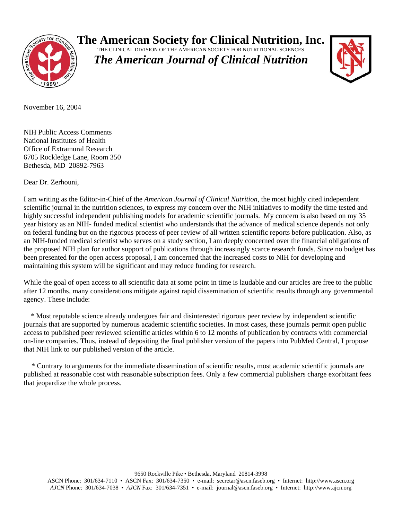

**The American Society for Clinical Nutrition, Inc.**

THE CLINICAL DIVISION OF THE AMERICAN SOCIETY FOR NUTRITIONAL SCIENCES *The American Journal of Clinical Nutrition*



November 16, 2004

NIH Public Access Comments National Institutes of Health Office of Extramural Research 6705 Rockledge Lane, Room 350 Bethesda, MD 20892-7963

Dear Dr. Zerhouni,

I am writing as the Editor-in-Chief of the *American Journal of Clinical Nutrition*, the most highly cited independent scientific journal in the nutrition sciences, to express my concern over the NIH initiatives to modify the time tested and highly successful independent publishing models for academic scientific journals. My concern is also based on my 35 year history as an NIH- funded medical scientist who understands that the advance of medical science depends not only on federal funding but on the rigorous process of peer review of all written scientific reports before publication. Also, as an NIH-funded medical scientist who serves on a study section, I am deeply concerned over the financial obligations of the proposed NIH plan for author support of publications through increasingly scarce research funds. Since no budget has been presented for the open access proposal, I am concerned that the increased costs to NIH for developing and maintaining this system will be significant and may reduce funding for research.

While the goal of open access to all scientific data at some point in time is laudable and our articles are free to the public after 12 months, many considerations mitigate against rapid dissemination of scientific results through any governmental agency. These include:

 \* Most reputable science already undergoes fair and disinterested rigorous peer review by independent scientific journals that are supported by numerous academic scientific societies. In most cases, these journals permit open public access to published peer reviewed scientific articles within 6 to 12 months of publication by contracts with commercial on-line companies. Thus, instead of depositing the final publisher version of the papers into PubMed Central, I propose that NIH link to our published version of the article.

\* Contrary to arguments for the immediate dissemination of scientific results, most academic scientific journals are published at reasonable cost with reasonable subscription fees. Only a few commercial publishers charge exorbitant fees that jeopardize the whole process.